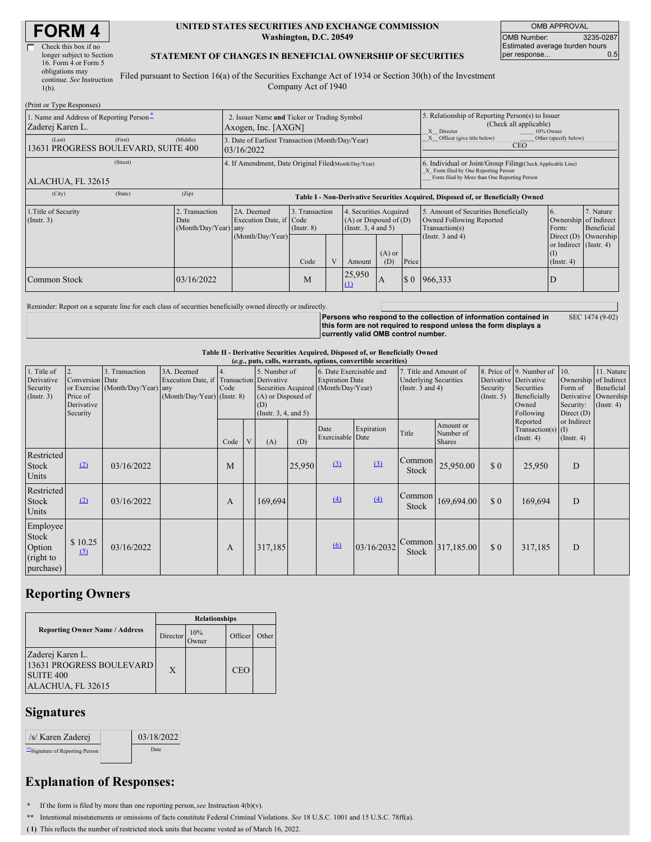# **FORM 4**

| Check this box if no      |
|---------------------------|
| longer subject to Section |
| 16. Form 4 or Form 5      |
| obligations may           |
| continue. See Instruction |
| $1(b)$ .                  |
|                           |

#### **UNITED STATES SECURITIES AND EXCHANGE COMMISSION Washington, D.C. 20549**

OMB APPROVAL OMB Number: 3235-0287 Estimated average burden hours<br>per response... 0.5 per response...

#### **STATEMENT OF CHANGES IN BENEFICIAL OWNERSHIP OF SECURITIES**

Filed pursuant to Section 16(a) of the Securities Exchange Act of 1934 or Section 30(h) of the Investment Company Act of 1940

| (Print or Type Responses)                                    |                                                                                                                                                                                                              |                                                                                  |      |                                                                                                   |                  |                                                  |                                                                                                                                                    |                       |                                            |                        |
|--------------------------------------------------------------|--------------------------------------------------------------------------------------------------------------------------------------------------------------------------------------------------------------|----------------------------------------------------------------------------------|------|---------------------------------------------------------------------------------------------------|------------------|--------------------------------------------------|----------------------------------------------------------------------------------------------------------------------------------------------------|-----------------------|--------------------------------------------|------------------------|
| 1. Name and Address of Reporting Person-<br>Zaderej Karen L. | 2. Issuer Name and Ticker or Trading Symbol<br>Axogen, Inc. [AXGN]                                                                                                                                           |                                                                                  |      |                                                                                                   |                  |                                                  | 5. Relationship of Reporting Person(s) to Issuer<br>(Check all applicable)<br>X Director<br>10% Owner                                              |                       |                                            |                        |
| (First)<br>(Last)<br>13631 PROGRESS BOULEVARD, SUITE 400     | 3. Date of Earliest Transaction (Month/Day/Year)<br>03/16/2022                                                                                                                                               |                                                                                  |      |                                                                                                   |                  |                                                  | Officer (give title below)<br>Other (specify below)<br><b>CEO</b>                                                                                  |                       |                                            |                        |
| (Street)<br>ALACHUA, FL 32615                                | 4. If Amendment, Date Original Filed (Month/Day/Year)                                                                                                                                                        |                                                                                  |      |                                                                                                   |                  |                                                  | 6. Individual or Joint/Group Filing(Check Applicable Line)<br>X Form filed by One Reporting Person<br>Form filed by More than One Reporting Person |                       |                                            |                        |
| (State)<br>(City)                                            | (Zip)                                                                                                                                                                                                        | Table I - Non-Derivative Securities Acquired, Disposed of, or Beneficially Owned |      |                                                                                                   |                  |                                                  |                                                                                                                                                    |                       |                                            |                        |
| 1. Title of Security<br>$($ Instr. 3 $)$                     | 2A. Deemed<br>3. Transaction<br>4. Securities Acquired<br>2. Transaction<br>Execution Date, if Code<br>$(A)$ or Disposed of $(D)$<br>Date<br>(Insert. 3, 4 and 5)<br>(Month/Day/Year) any<br>$($ Instr. $8)$ |                                                                                  |      | 5. Amount of Securities Beneficially<br>6.<br>Owned Following Reported<br>Transaction(s)<br>Form: |                  | 7. Nature<br>Ownership of Indirect<br>Beneficial |                                                                                                                                                    |                       |                                            |                        |
|                                                              |                                                                                                                                                                                                              | (Month/Day/Year)                                                                 | Code |                                                                                                   | Amount           | $(A)$ or<br>(D)                                  | Price                                                                                                                                              | (Instr. $3$ and $4$ ) | or Indirect (Instr. 4)<br>$($ Instr. 4 $)$ | Direct $(D)$ Ownership |
| <b>Common Stock</b>                                          | 03/16/2022                                                                                                                                                                                                   |                                                                                  | M    |                                                                                                   | 25,950<br>$\Box$ | A                                                | $\sqrt{3}0$                                                                                                                                        | 966,333               | D                                          |                        |

Reminder: Report on a separate line for each class of securities beneficially owned directly or indirectly.

**Persons who respond to the collection of information contained in this form are not required to respond unless the form displays a currently valid OMB control number.** SEC 1474 (9-02)

**Table II - Derivative Securities Acquired, Disposed of, or Beneficially Owned**

|                                                              | (e.g., puts, calls, warrants, options, convertible securities) |                                                    |                                                                                        |            |   |                                                                        |        |                          |                                                                                                                                                                              |                        |                                                       |                                                                              |                                                                      |                                                                      |  |
|--------------------------------------------------------------|----------------------------------------------------------------|----------------------------------------------------|----------------------------------------------------------------------------------------|------------|---|------------------------------------------------------------------------|--------|--------------------------|------------------------------------------------------------------------------------------------------------------------------------------------------------------------------|------------------------|-------------------------------------------------------|------------------------------------------------------------------------------|----------------------------------------------------------------------|----------------------------------------------------------------------|--|
| 1. Title of<br>Derivative<br>Security<br>$($ Instr. 3 $)$    | 2.<br>Conversion Date<br>Price of<br>Derivative<br>Security    | 3. Transaction<br>or Exercise (Month/Day/Year) any | 3A. Deemed<br>Execution Date, if Transaction Derivative<br>(Month/Day/Year) (Instr. 8) | 4.<br>Code |   | 5. Number of<br>(A) or Disposed of<br>(D)<br>(Instr. $3, 4,$ and $5$ ) |        |                          | 6. Date Exercisable and<br>7. Title and Amount of<br><b>Expiration Date</b><br><b>Underlying Securities</b><br>Securities Acquired (Month/Day/Year)<br>(Instr. $3$ and $4$ ) |                        | Derivative Derivative<br>Security<br>$($ Instr. 5 $)$ | 8. Price of 9. Number of<br>Securities<br>Beneficially<br>Owned<br>Following | 10.<br>Ownership of Indirect<br>Form of<br>Security:<br>Direct $(D)$ | 11. Nature<br>Beneficial<br>Derivative Ownership<br>$($ Instr. 4 $)$ |  |
|                                                              |                                                                |                                                    |                                                                                        | Code       | V | (A)                                                                    | (D)    | Date<br>Exercisable Date | Expiration                                                                                                                                                                   | Title                  | Amount or<br>Number of<br><b>Shares</b>               |                                                                              | Reported<br>Transaction(s) $(I)$<br>$($ Instr. 4 $)$                 | or Indirect<br>$($ Instr. 4 $)$                                      |  |
| Restricted<br>Stock<br>Units                                 | (2)                                                            | 03/16/2022                                         |                                                                                        | M          |   |                                                                        | 25,950 | (3)                      | (3)                                                                                                                                                                          | Common<br><b>Stock</b> | 25,950.00                                             | $\Omega$                                                                     | 25,950                                                               | D                                                                    |  |
| Restricted<br>Stock<br>Units                                 | (2)                                                            | 03/16/2022                                         |                                                                                        | A          |   | 169,694                                                                |        | (4)                      | (4)                                                                                                                                                                          | Common<br>Stock        | 169,694.00                                            | $\Omega$                                                                     | 169,694                                                              | D                                                                    |  |
| Employee<br><b>Stock</b><br>Option<br>(right to<br>purchase) | \$10.25<br>(5)                                                 | 03/16/2022                                         |                                                                                        | A          |   | 317,185                                                                |        | (6)                      | 03/16/2032                                                                                                                                                                   | Common<br>Stock        | 317,185.00                                            | \$0                                                                          | 317,185                                                              | D                                                                    |  |

## **Reporting Owners**

|                                                                                           | <b>Relationships</b> |              |         |       |  |  |  |
|-------------------------------------------------------------------------------------------|----------------------|--------------|---------|-------|--|--|--|
| <b>Reporting Owner Name / Address</b>                                                     | Director             | 10%<br>)wner | Officer | Other |  |  |  |
| Zaderej Karen L.<br>13631 PROGRESS BOULEVARD<br>SUITE <sub>400</sub><br>ALACHUA, FL 32615 | X                    |              | CEO     |       |  |  |  |

#### **Signatures**

| /s/ Karen Zaderej                | 03/18/2022 |
|----------------------------------|------------|
| ** Signature of Reporting Person | Date:      |

### **Explanation of Responses:**

**\*** If the form is filed by more than one reporting person,*see* Instruction 4(b)(v).

**\*\*** Intentional misstatements or omissions of facts constitute Federal Criminal Violations. *See* 18 U.S.C. 1001 and 15 U.S.C. 78ff(a).

**( 1)** This reflects the number of restricted stock units that became vested as of March 16, 2022.